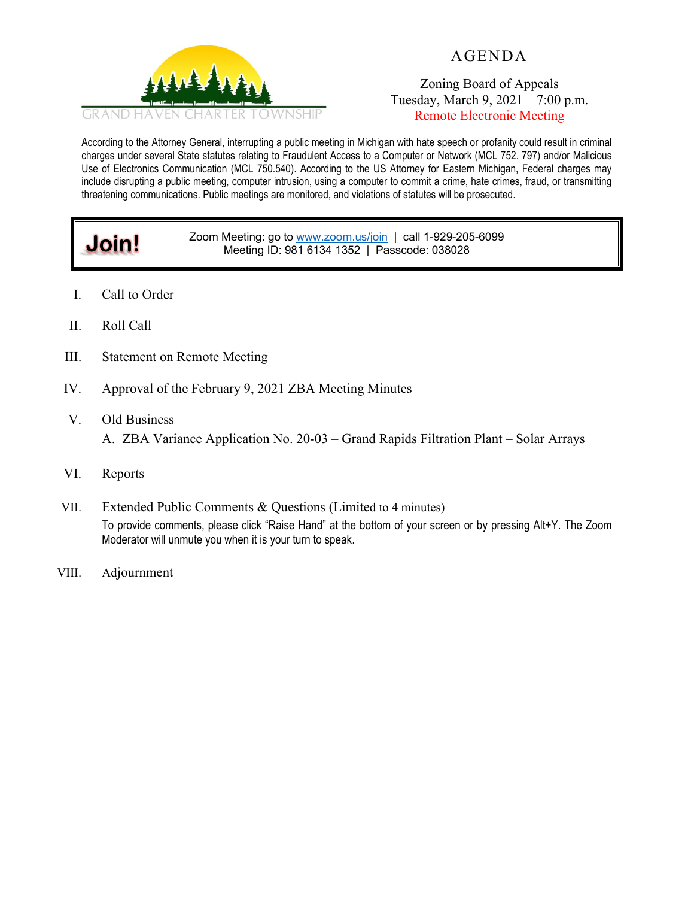

# AGENDA

Zoning Board of Appeals Tuesday, March 9, 2021 – 7:00 p.m. Remote Electronic Meeting

According to the Attorney General, interrupting a public meeting in Michigan with hate speech or profanity could result in criminal charges under several State statutes relating to Fraudulent Access to a Computer or Network (MCL 752. 797) and/or Malicious Use of Electronics Communication (MCL 750.540). According to the US Attorney for Eastern Michigan, Federal charges may include disrupting a public meeting, computer intrusion, using a computer to commit a crime, hate crimes, fraud, or transmitting threatening communications. Public meetings are monitored, and violations of statutes will be prosecuted.

#### Zoom Meeting: go to [www.zoom.us/join](http://www.zoom.us/join) | call 1-929-205-6099 Meeting ID: 981 6134 1352 | Passcode: 038028

- I. Call to Order
- II. Roll Call

**Join!**

- III. Statement on Remote Meeting
- IV. Approval of the February 9, 2021 ZBA Meeting Minutes
- V. Old Business A. ZBA Variance Application No. 20-03 – Grand Rapids Filtration Plant – Solar Arrays
- VI. Reports
- VII. Extended Public Comments & Questions (Limited to 4 minutes) To provide comments, please click "Raise Hand" at the bottom of your screen or by pressing Alt+Y. The Zoom Moderator will unmute you when it is your turn to speak.
- VIII. Adjournment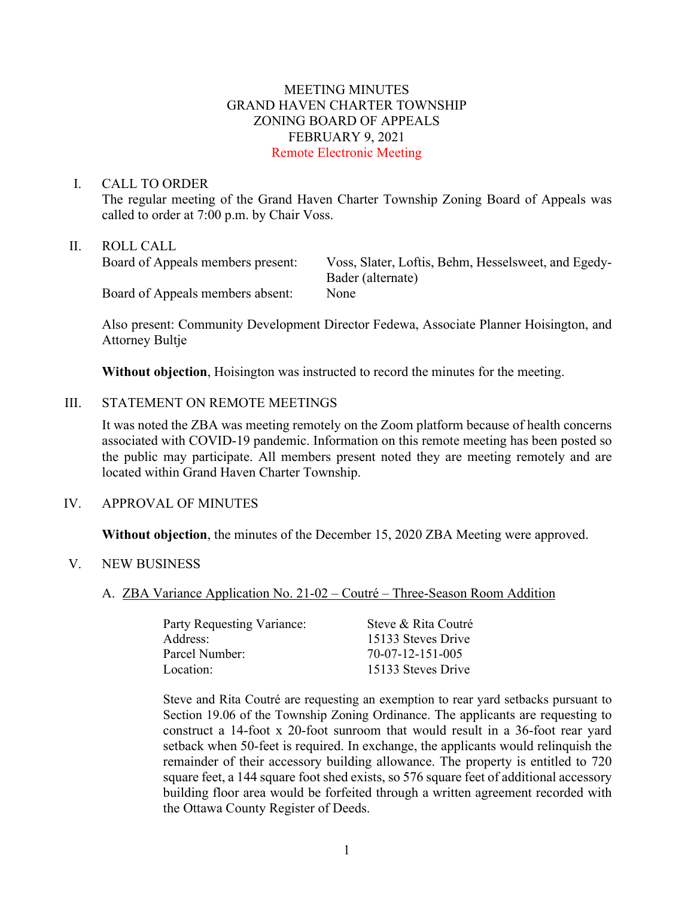## MEETING MINUTES GRAND HAVEN CHARTER TOWNSHIP ZONING BOARD OF APPEALS FEBRUARY 9, 2021 Remote Electronic Meeting

#### I. CALL TO ORDER

The regular meeting of the Grand Haven Charter Township Zoning Board of Appeals was called to order at 7:00 p.m. by Chair Voss.

### II. ROLL CALL

| Board of Appeals members present: | Voss, Slater, Loftis, Behm, Hesselsweet, and Egedy- |
|-----------------------------------|-----------------------------------------------------|
|                                   | Bader (alternate)                                   |
| Board of Appeals members absent:  | None                                                |

Also present: Community Development Director Fedewa, Associate Planner Hoisington, and Attorney Bultje

**Without objection**, Hoisington was instructed to record the minutes for the meeting.

### III. STATEMENT ON REMOTE MEETINGS

It was noted the ZBA was meeting remotely on the Zoom platform because of health concerns associated with COVID-19 pandemic. Information on this remote meeting has been posted so the public may participate. All members present noted they are meeting remotely and are located within Grand Haven Charter Township.

### IV. APPROVAL OF MINUTES

**Without objection**, the minutes of the December 15, 2020 ZBA Meeting were approved.

- V. NEW BUSINESS
	- A. ZBA Variance Application No. 21-02 Coutré Three-Season Room Addition

| Party Requesting Variance: | Steve & Rita Coutré |
|----------------------------|---------------------|
| Address:                   | 15133 Steves Drive  |
| Parcel Number:             | 70-07-12-151-005    |
| Location:                  | 15133 Steves Drive  |

Steve and Rita Coutré are requesting an exemption to rear yard setbacks pursuant to Section 19.06 of the Township Zoning Ordinance. The applicants are requesting to construct a 14-foot x 20-foot sunroom that would result in a 36-foot rear yard setback when 50-feet is required. In exchange, the applicants would relinquish the remainder of their accessory building allowance. The property is entitled to 720 square feet, a 144 square foot shed exists, so 576 square feet of additional accessory building floor area would be forfeited through a written agreement recorded with the Ottawa County Register of Deeds.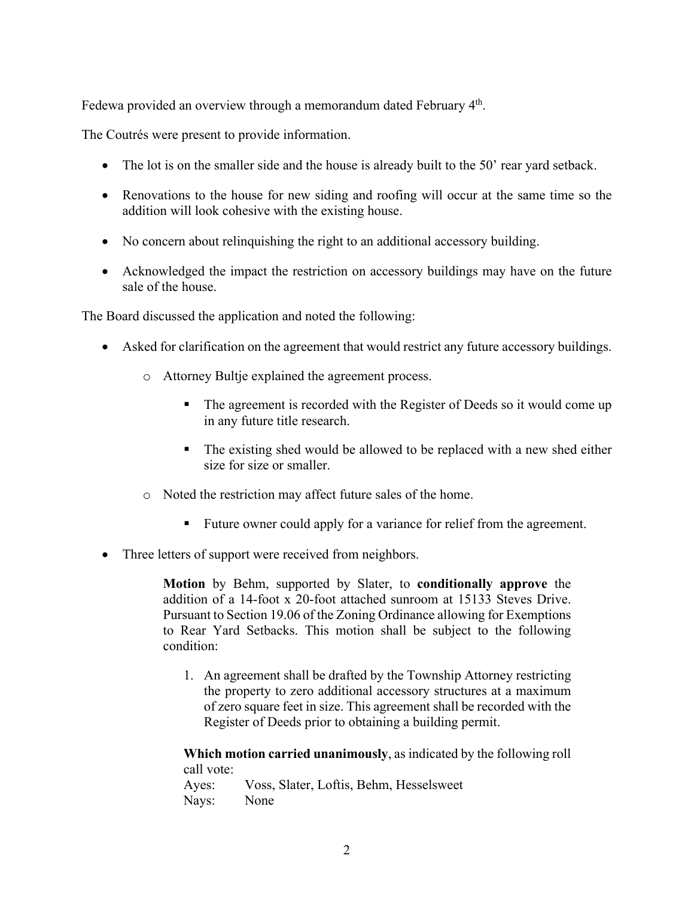Fedewa provided an overview through a memorandum dated February 4<sup>th</sup>.

The Coutrés were present to provide information.

- The lot is on the smaller side and the house is already built to the 50' rear yard setback.
- Renovations to the house for new siding and roofing will occur at the same time so the addition will look cohesive with the existing house.
- No concern about relinquishing the right to an additional accessory building.
- Acknowledged the impact the restriction on accessory buildings may have on the future sale of the house.

The Board discussed the application and noted the following:

- Asked for clarification on the agreement that would restrict any future accessory buildings.
	- o Attorney Bultje explained the agreement process.
		- The agreement is recorded with the Register of Deeds so it would come up in any future title research.
		- The existing shed would be allowed to be replaced with a new shed either size for size or smaller.
	- o Noted the restriction may affect future sales of the home.
		- Future owner could apply for a variance for relief from the agreement.
- Three letters of support were received from neighbors.

**Motion** by Behm, supported by Slater, to **conditionally approve** the addition of a 14-foot x 20-foot attached sunroom at 15133 Steves Drive. Pursuant to Section 19.06 of the Zoning Ordinance allowing for Exemptions to Rear Yard Setbacks. This motion shall be subject to the following condition:

1. An agreement shall be drafted by the Township Attorney restricting the property to zero additional accessory structures at a maximum of zero square feet in size. This agreement shall be recorded with the Register of Deeds prior to obtaining a building permit.

**Which motion carried unanimously**, as indicated by the following roll call vote:

Ayes: Voss, Slater, Loftis, Behm, Hesselsweet Nays: None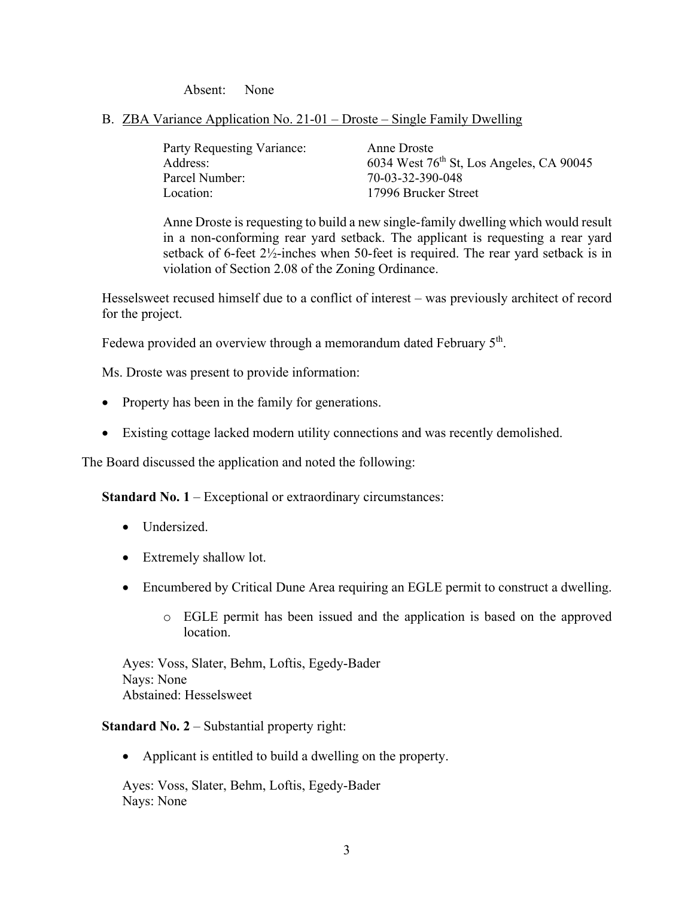Absent: None

## B. ZBA Variance Application No. 21-01 – Droste – Single Family Dwelling

| Party Requesting Variance: | Anne Droste                                |
|----------------------------|--------------------------------------------|
| Address:                   | 6034 West $76th$ St, Los Angeles, CA 90045 |
| Parcel Number:             | 70-03-32-390-048                           |
| Location:                  | 17996 Brucker Street                       |

Anne Droste is requesting to build a new single-family dwelling which would result in a non-conforming rear yard setback. The applicant is requesting a rear yard setback of 6-feet 2½-inches when 50-feet is required. The rear yard setback is in violation of Section 2.08 of the Zoning Ordinance.

Hesselsweet recused himself due to a conflict of interest – was previously architect of record for the project.

Fedewa provided an overview through a memorandum dated February 5<sup>th</sup>.

Ms. Droste was present to provide information:

- Property has been in the family for generations.
- Existing cottage lacked modern utility connections and was recently demolished.

The Board discussed the application and noted the following:

**Standard No. 1** – Exceptional or extraordinary circumstances:

- Undersized.
- Extremely shallow lot.
- Encumbered by Critical Dune Area requiring an EGLE permit to construct a dwelling.
	- o EGLE permit has been issued and the application is based on the approved location.

Ayes: Voss, Slater, Behm, Loftis, Egedy-Bader Nays: None Abstained: Hesselsweet

**Standard No. 2** – Substantial property right:

• Applicant is entitled to build a dwelling on the property.

Ayes: Voss, Slater, Behm, Loftis, Egedy-Bader Nays: None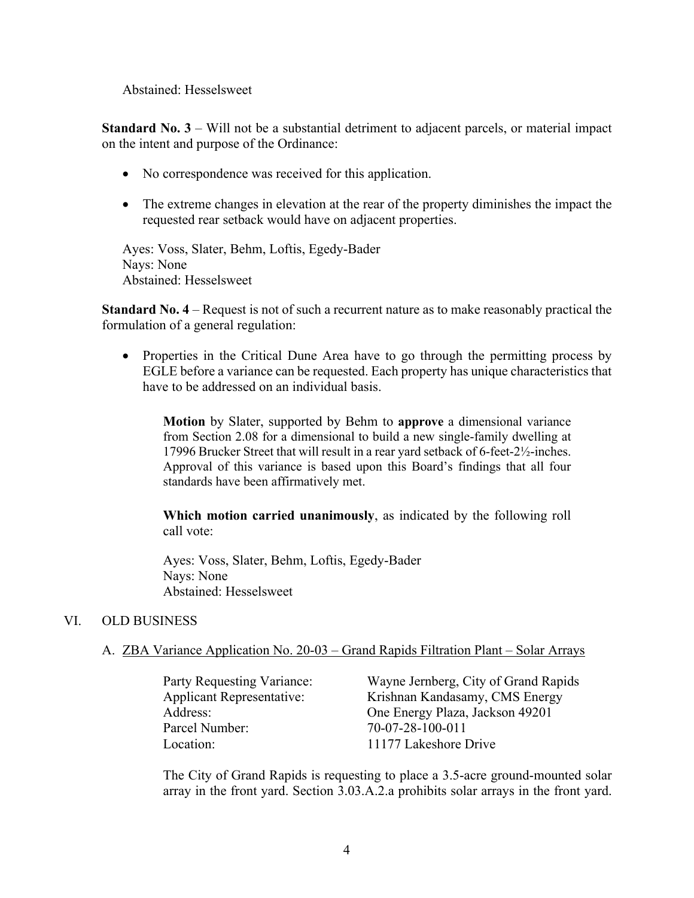Abstained: Hesselsweet

**Standard No. 3** – Will not be a substantial detriment to adjacent parcels, or material impact on the intent and purpose of the Ordinance:

- No correspondence was received for this application.
- The extreme changes in elevation at the rear of the property diminishes the impact the requested rear setback would have on adjacent properties.

Ayes: Voss, Slater, Behm, Loftis, Egedy-Bader Nays: None Abstained: Hesselsweet

**Standard No. 4** – Request is not of such a recurrent nature as to make reasonably practical the formulation of a general regulation:

• Properties in the Critical Dune Area have to go through the permitting process by EGLE before a variance can be requested. Each property has unique characteristics that have to be addressed on an individual basis.

**Motion** by Slater, supported by Behm to **approve** a dimensional variance from Section 2.08 for a dimensional to build a new single-family dwelling at 17996 Brucker Street that will result in a rear yard setback of 6-feet-2½-inches. Approval of this variance is based upon this Board's findings that all four standards have been affirmatively met.

**Which motion carried unanimously**, as indicated by the following roll call vote:

Ayes: Voss, Slater, Behm, Loftis, Egedy-Bader Nays: None Abstained: Hesselsweet

### VI. OLD BUSINESS

### A. ZBA Variance Application No. 20-03 – Grand Rapids Filtration Plant – Solar Arrays

Parcel Number: 70-07-28-100-011 Location: 11177 Lakeshore Drive

Party Requesting Variance: Wayne Jernberg, City of Grand Rapids Applicant Representative: Krishnan Kandasamy, CMS Energy Address: One Energy Plaza, Jackson 49201

The City of Grand Rapids is requesting to place a 3.5-acre ground-mounted solar array in the front yard. Section 3.03.A.2.a prohibits solar arrays in the front yard.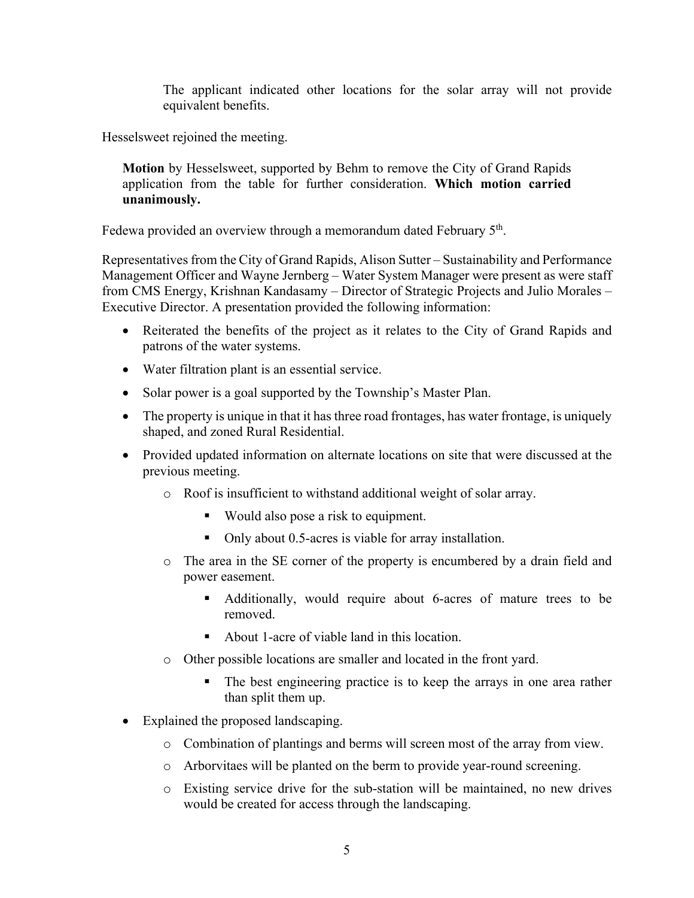The applicant indicated other locations for the solar array will not provide equivalent benefits.

Hesselsweet rejoined the meeting.

**Motion** by Hesselsweet, supported by Behm to remove the City of Grand Rapids application from the table for further consideration. **Which motion carried unanimously.**

Fedewa provided an overview through a memorandum dated February 5<sup>th</sup>.

Representatives from the City of Grand Rapids, Alison Sutter – Sustainability and Performance Management Officer and Wayne Jernberg – Water System Manager were present as were staff from CMS Energy, Krishnan Kandasamy – Director of Strategic Projects and Julio Morales – Executive Director. A presentation provided the following information:

- Reiterated the benefits of the project as it relates to the City of Grand Rapids and patrons of the water systems.
- Water filtration plant is an essential service.
- Solar power is a goal supported by the Township's Master Plan.
- The property is unique in that it has three road frontages, has water frontage, is uniquely shaped, and zoned Rural Residential.
- Provided updated information on alternate locations on site that were discussed at the previous meeting.
	- o Roof is insufficient to withstand additional weight of solar array.
		- Would also pose a risk to equipment.
		- Only about 0.5-acres is viable for array installation.
	- o The area in the SE corner of the property is encumbered by a drain field and power easement.
		- Additionally, would require about 6-acres of mature trees to be removed.
		- About 1-acre of viable land in this location.
	- o Other possible locations are smaller and located in the front yard.
		- The best engineering practice is to keep the arrays in one area rather than split them up.
- Explained the proposed landscaping.
	- o Combination of plantings and berms will screen most of the array from view.
	- o Arborvitaes will be planted on the berm to provide year-round screening.
	- o Existing service drive for the sub-station will be maintained, no new drives would be created for access through the landscaping.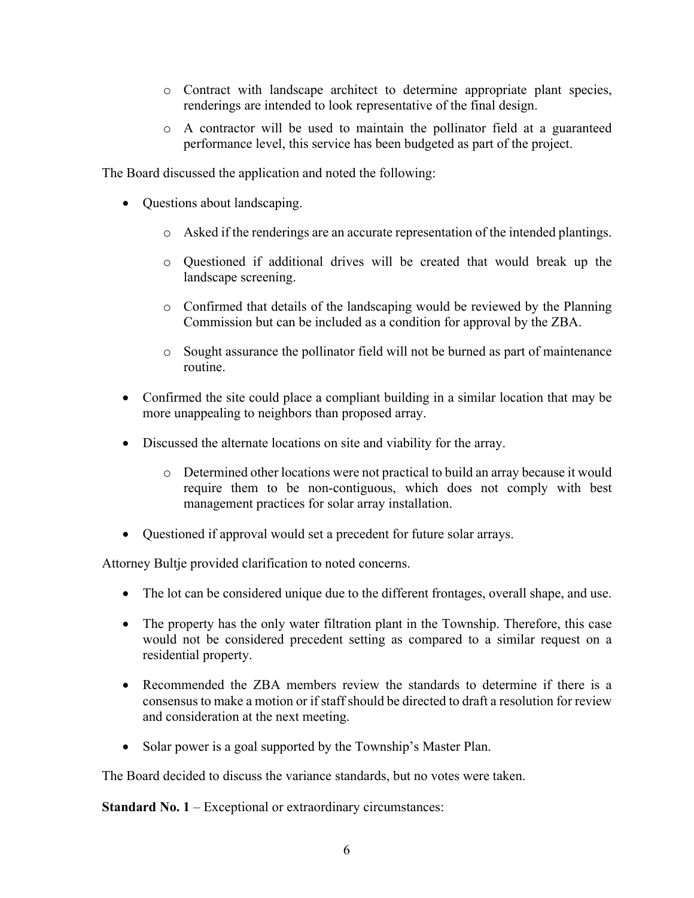- o Contract with landscape architect to determine appropriate plant species, renderings are intended to look representative of the final design.
- $\circ$  A contractor will be used to maintain the pollinator field at a guaranteed performance level, this service has been budgeted as part of the project.

The Board discussed the application and noted the following:

- Questions about landscaping.
	- o Asked if the renderings are an accurate representation of the intended plantings.
	- o Questioned if additional drives will be created that would break up the landscape screening.
	- o Confirmed that details of the landscaping would be reviewed by the Planning Commission but can be included as a condition for approval by the ZBA.
	- o Sought assurance the pollinator field will not be burned as part of maintenance routine.
- Confirmed the site could place a compliant building in a similar location that may be more unappealing to neighbors than proposed array.
- Discussed the alternate locations on site and viability for the array.
	- o Determined other locations were not practical to build an array because it would require them to be non-contiguous, which does not comply with best management practices for solar array installation.
- Questioned if approval would set a precedent for future solar arrays.

Attorney Bultje provided clarification to noted concerns.

- The lot can be considered unique due to the different frontages, overall shape, and use.
- The property has the only water filtration plant in the Township. Therefore, this case would not be considered precedent setting as compared to a similar request on a residential property.
- Recommended the ZBA members review the standards to determine if there is a consensus to make a motion or if staff should be directed to draft a resolution for review and consideration at the next meeting.
- Solar power is a goal supported by the Township's Master Plan.

The Board decided to discuss the variance standards, but no votes were taken.

**Standard No. 1** – Exceptional or extraordinary circumstances: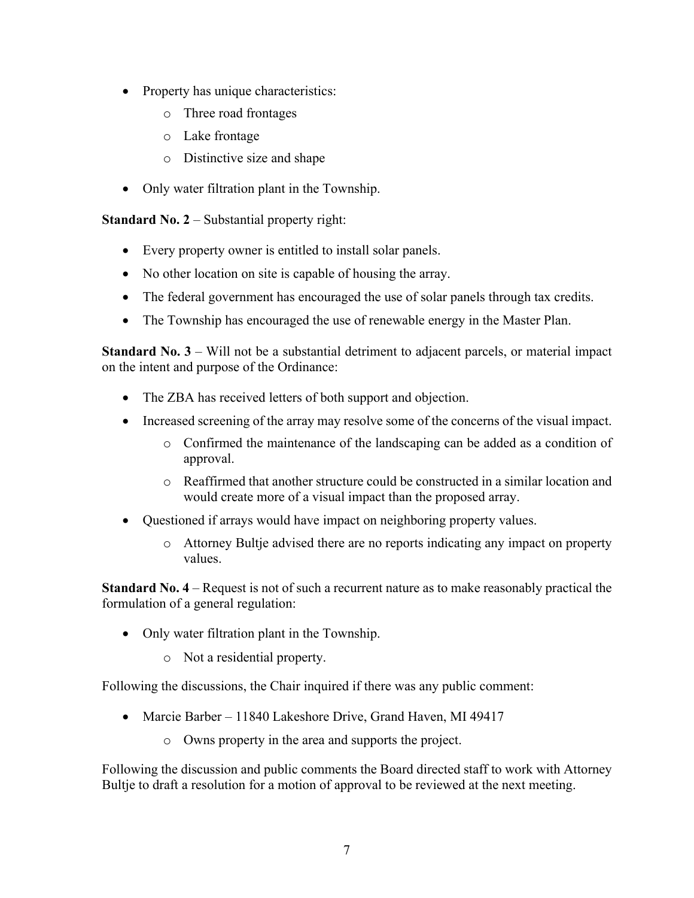- Property has unique characteristics:
	- o Three road frontages
	- o Lake frontage
	- o Distinctive size and shape
- Only water filtration plant in the Township.

**Standard No. 2** – Substantial property right:

- Every property owner is entitled to install solar panels.
- No other location on site is capable of housing the array.
- The federal government has encouraged the use of solar panels through tax credits.
- The Township has encouraged the use of renewable energy in the Master Plan.

**Standard No. 3** – Will not be a substantial detriment to adjacent parcels, or material impact on the intent and purpose of the Ordinance:

- The ZBA has received letters of both support and objection.
- Increased screening of the array may resolve some of the concerns of the visual impact.
	- o Confirmed the maintenance of the landscaping can be added as a condition of approval.
	- o Reaffirmed that another structure could be constructed in a similar location and would create more of a visual impact than the proposed array.
- Questioned if arrays would have impact on neighboring property values.
	- o Attorney Bultje advised there are no reports indicating any impact on property values.

**Standard No. 4** – Request is not of such a recurrent nature as to make reasonably practical the formulation of a general regulation:

- Only water filtration plant in the Township.
	- o Not a residential property.

Following the discussions, the Chair inquired if there was any public comment:

- Marcie Barber 11840 Lakeshore Drive, Grand Haven, MI 49417
	- o Owns property in the area and supports the project.

Following the discussion and public comments the Board directed staff to work with Attorney Bultje to draft a resolution for a motion of approval to be reviewed at the next meeting.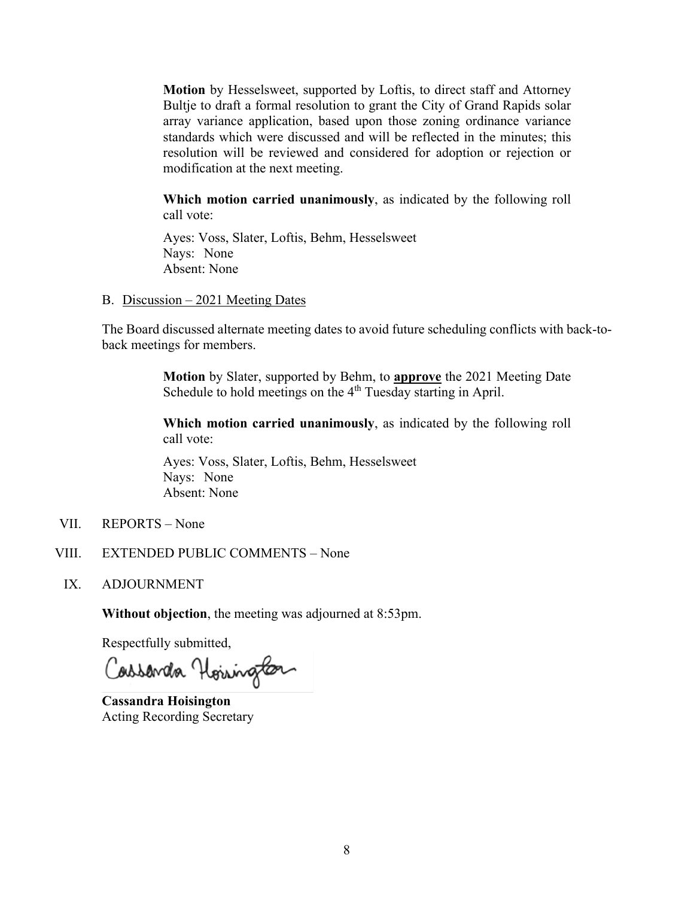**Motion** by Hesselsweet, supported by Loftis, to direct staff and Attorney Bultje to draft a formal resolution to grant the City of Grand Rapids solar array variance application, based upon those zoning ordinance variance standards which were discussed and will be reflected in the minutes; this resolution will be reviewed and considered for adoption or rejection or modification at the next meeting.

**Which motion carried unanimously**, as indicated by the following roll call vote:

Ayes: Voss, Slater, Loftis, Behm, Hesselsweet Nays: None Absent: None

B. Discussion – 2021 Meeting Dates

The Board discussed alternate meeting dates to avoid future scheduling conflicts with back-toback meetings for members.

> **Motion** by Slater, supported by Behm, to **approve** the 2021 Meeting Date Schedule to hold meetings on the  $4<sup>th</sup>$  Tuesday starting in April.

> **Which motion carried unanimously**, as indicated by the following roll call vote:

Ayes: Voss, Slater, Loftis, Behm, Hesselsweet Nays: None Absent: None

- VII. REPORTS None
- VIII. EXTENDED PUBLIC COMMENTS None
- IX. ADJOURNMENT

**Without objection**, the meeting was adjourned at 8:53pm.

Respectfully submitted,

Cassanda Hoisington

**Cassandra Hoisington** Acting Recording Secretary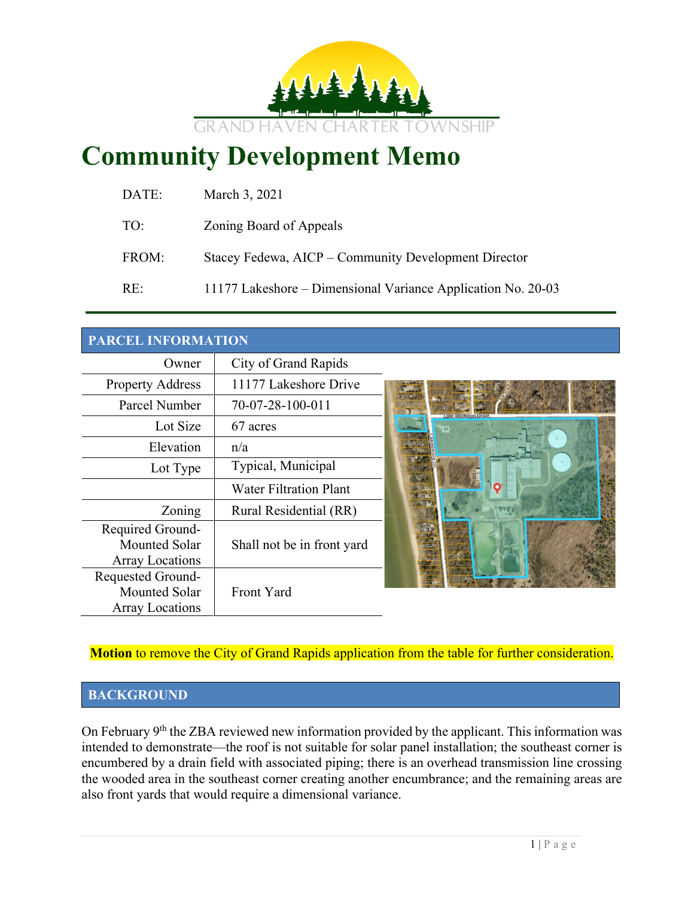

# **Community Development Memo**

| DATE: | March 3, 2021                                                |
|-------|--------------------------------------------------------------|
| TO:   | Zoning Board of Appeals                                      |
| FROM: | Stacey Fedewa, AICP – Community Development Director         |
| RE:   | 11177 Lakeshore – Dimensional Variance Application No. 20-03 |

## **PARCEL INFORMATION**

| Owner                   | City of Grand Rapids          |                  |
|-------------------------|-------------------------------|------------------|
| <b>Property Address</b> | 11177 Lakeshore Drive         |                  |
| Parcel Number           | 70-07-28-100-011              | ake Michigan Dr. |
| Lot Size                | 67 acres                      |                  |
| Elevation               | n/a                           |                  |
| Lot Type                | Typical, Municipal            |                  |
|                         | <b>Water Filtration Plant</b> |                  |
| Zoning                  | Rural Residential (RR)        |                  |
| Required Ground-        |                               |                  |
| <b>Mounted Solar</b>    | Shall not be in front yard    |                  |
| <b>Array Locations</b>  |                               |                  |
| Requested Ground-       |                               |                  |
| <b>Mounted Solar</b>    | Front Yard                    |                  |
| <b>Array Locations</b>  |                               |                  |

**Motion** to remove the City of Grand Rapids application from the table for further consideration.

## **BACKGROUND**

On February 9<sup>th</sup> the ZBA reviewed new information provided by the applicant. This information was intended to demonstrate—the roof is not suitable for solar panel installation; the southeast corner is encumbered by a drain field with associated piping; there is an overhead transmission line crossing the wooded area in the southeast corner creating another encumbrance; and the remaining areas are also front yards that would require a dimensional variance.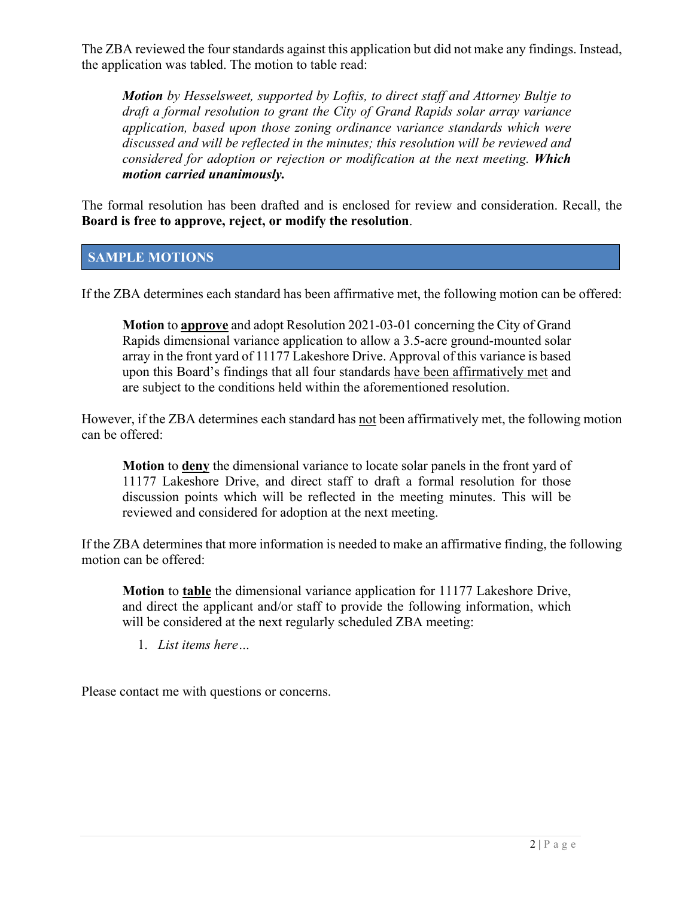The ZBA reviewed the four standards against this application but did not make any findings. Instead, the application was tabled. The motion to table read:

*Motion by Hesselsweet, supported by Loftis, to direct staff and Attorney Bultje to draft a formal resolution to grant the City of Grand Rapids solar array variance application, based upon those zoning ordinance variance standards which were discussed and will be reflected in the minutes; this resolution will be reviewed and considered for adoption or rejection or modification at the next meeting. Which motion carried unanimously.*

The formal resolution has been drafted and is enclosed for review and consideration. Recall, the **Board is free to approve, reject, or modify the resolution**.

## **SAMPLE MOTIONS**

If the ZBA determines each standard has been affirmative met, the following motion can be offered:

**Motion** to **approve** and adopt Resolution 2021-03-01 concerning the City of Grand Rapids dimensional variance application to allow a 3.5-acre ground-mounted solar array in the front yard of 11177 Lakeshore Drive. Approval of this variance is based upon this Board's findings that all four standards have been affirmatively met and are subject to the conditions held within the aforementioned resolution.

However, if the ZBA determines each standard has not been affirmatively met, the following motion can be offered:

**Motion** to **deny** the dimensional variance to locate solar panels in the front yard of 11177 Lakeshore Drive, and direct staff to draft a formal resolution for those discussion points which will be reflected in the meeting minutes. This will be reviewed and considered for adoption at the next meeting.

If the ZBA determines that more information is needed to make an affirmative finding, the following motion can be offered:

**Motion** to **table** the dimensional variance application for 11177 Lakeshore Drive, and direct the applicant and/or staff to provide the following information, which will be considered at the next regularly scheduled ZBA meeting:

1. *List items here…*

Please contact me with questions or concerns.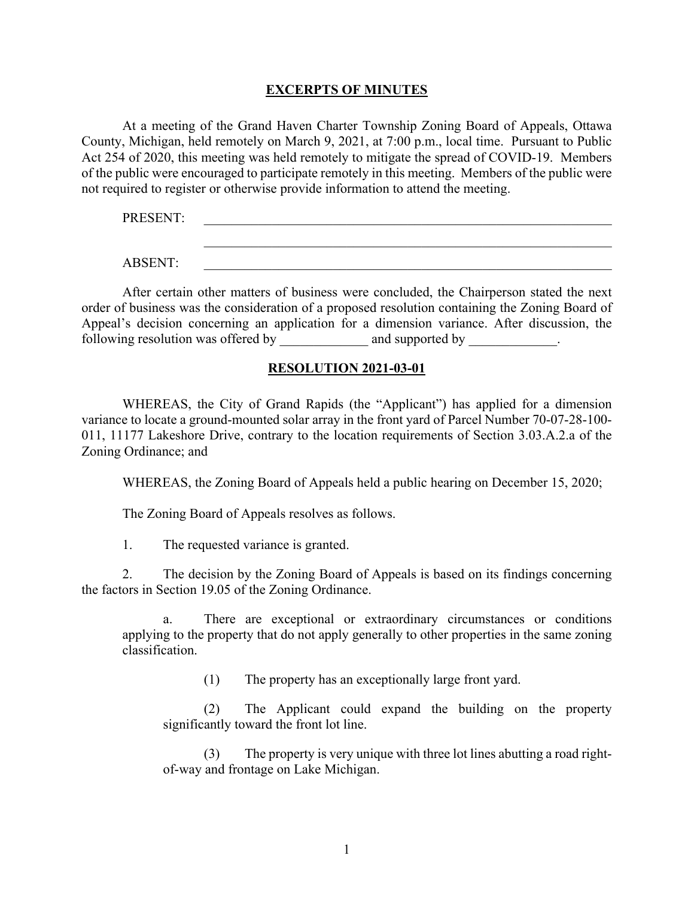#### **EXCERPTS OF MINUTES**

At a meeting of the Grand Haven Charter Township Zoning Board of Appeals, Ottawa County, Michigan, held remotely on March 9, 2021, at 7:00 p.m., local time. Pursuant to Public Act 254 of 2020, this meeting was held remotely to mitigate the spread of COVID-19. Members of the public were encouraged to participate remotely in this meeting. Members of the public were not required to register or otherwise provide information to attend the meeting.

PRESENT:

ABSENT: \_\_\_\_\_\_\_\_\_\_\_\_\_\_\_\_\_\_\_\_\_\_\_\_\_\_\_\_\_\_\_\_\_\_\_\_\_\_\_\_\_\_\_\_\_\_\_\_\_\_\_\_\_\_\_\_\_\_\_\_

 $\_$  ,  $\_$  ,  $\_$  ,  $\_$  ,  $\_$  ,  $\_$  ,  $\_$  ,  $\_$  ,  $\_$  ,  $\_$  ,  $\_$  ,  $\_$  ,  $\_$  ,  $\_$  ,  $\_$  ,  $\_$  ,  $\_$  ,  $\_$  ,  $\_$ 

After certain other matters of business were concluded, the Chairperson stated the next order of business was the consideration of a proposed resolution containing the Zoning Board of Appeal's decision concerning an application for a dimension variance. After discussion, the following resolution was offered by \_\_\_\_\_\_\_\_\_\_\_ and supported by \_\_\_\_\_\_\_\_\_\_\_\_\_.

#### **RESOLUTION 2021-03-01**

WHEREAS, the City of Grand Rapids (the "Applicant") has applied for a dimension variance to locate a ground-mounted solar array in the front yard of Parcel Number 70-07-28-100- 011, 11177 Lakeshore Drive, contrary to the location requirements of Section 3.03.A.2.a of the Zoning Ordinance; and

WHEREAS, the Zoning Board of Appeals held a public hearing on December 15, 2020;

The Zoning Board of Appeals resolves as follows.

1. The requested variance is granted.

2. The decision by the Zoning Board of Appeals is based on its findings concerning the factors in Section 19.05 of the Zoning Ordinance.

There are exceptional or extraordinary circumstances or conditions applying to the property that do not apply generally to other properties in the same zoning classification.

(1) The property has an exceptionally large front yard.

(2) The Applicant could expand the building on the property significantly toward the front lot line.

(3) The property is very unique with three lot lines abutting a road rightof-way and frontage on Lake Michigan.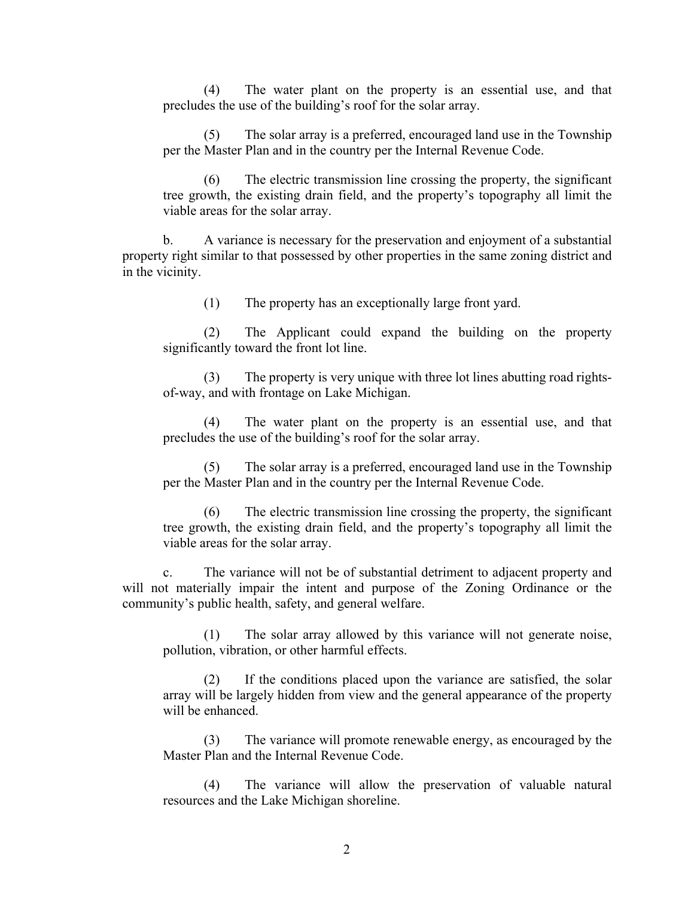(4) The water plant on the property is an essential use, and that precludes the use of the building's roof for the solar array.

(5) The solar array is a preferred, encouraged land use in the Township per the Master Plan and in the country per the Internal Revenue Code.

(6) The electric transmission line crossing the property, the significant tree growth, the existing drain field, and the property's topography all limit the viable areas for the solar array.

b. A variance is necessary for the preservation and enjoyment of a substantial property right similar to that possessed by other properties in the same zoning district and in the vicinity.

(1) The property has an exceptionally large front yard.

(2) The Applicant could expand the building on the property significantly toward the front lot line.

(3) The property is very unique with three lot lines abutting road rightsof-way, and with frontage on Lake Michigan.

(4) The water plant on the property is an essential use, and that precludes the use of the building's roof for the solar array.

(5) The solar array is a preferred, encouraged land use in the Township per the Master Plan and in the country per the Internal Revenue Code.

(6) The electric transmission line crossing the property, the significant tree growth, the existing drain field, and the property's topography all limit the viable areas for the solar array.

c. The variance will not be of substantial detriment to adjacent property and will not materially impair the intent and purpose of the Zoning Ordinance or the community's public health, safety, and general welfare.

(1) The solar array allowed by this variance will not generate noise, pollution, vibration, or other harmful effects.

(2) If the conditions placed upon the variance are satisfied, the solar array will be largely hidden from view and the general appearance of the property will be enhanced.

(3) The variance will promote renewable energy, as encouraged by the Master Plan and the Internal Revenue Code.

(4) The variance will allow the preservation of valuable natural resources and the Lake Michigan shoreline.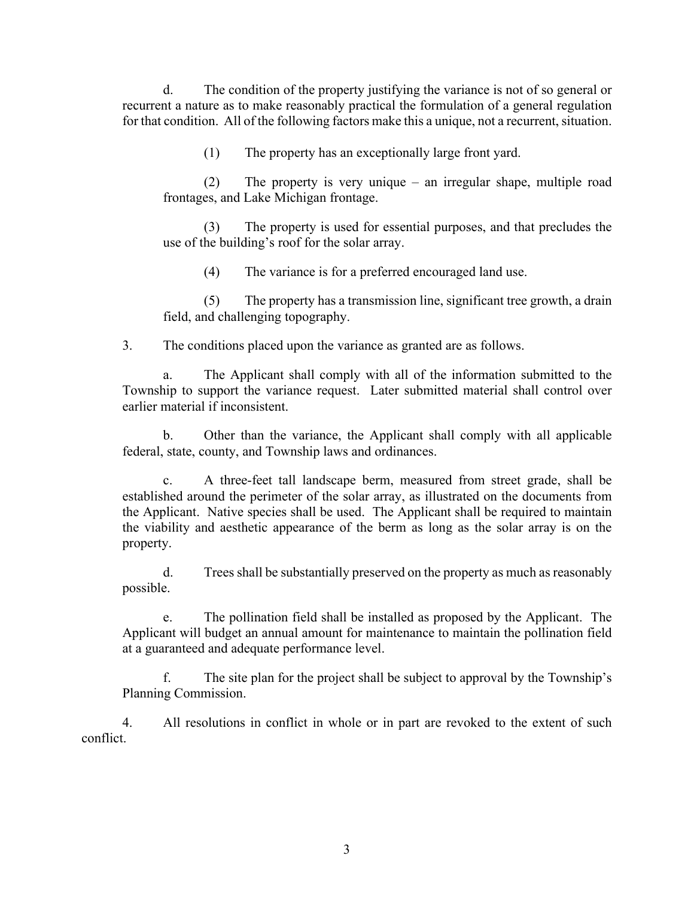d. The condition of the property justifying the variance is not of so general or recurrent a nature as to make reasonably practical the formulation of a general regulation for that condition. All of the following factors make this a unique, not a recurrent, situation.

(1) The property has an exceptionally large front yard.

(2) The property is very unique – an irregular shape, multiple road frontages, and Lake Michigan frontage.

(3) The property is used for essential purposes, and that precludes the use of the building's roof for the solar array.

(4) The variance is for a preferred encouraged land use.

(5) The property has a transmission line, significant tree growth, a drain field, and challenging topography.

3. The conditions placed upon the variance as granted are as follows.

a. The Applicant shall comply with all of the information submitted to the Township to support the variance request. Later submitted material shall control over earlier material if inconsistent.

b. Other than the variance, the Applicant shall comply with all applicable federal, state, county, and Township laws and ordinances.

c. A three-feet tall landscape berm, measured from street grade, shall be established around the perimeter of the solar array, as illustrated on the documents from the Applicant. Native species shall be used. The Applicant shall be required to maintain the viability and aesthetic appearance of the berm as long as the solar array is on the property.

d. Trees shall be substantially preserved on the property as much as reasonably possible.

e. The pollination field shall be installed as proposed by the Applicant. The Applicant will budget an annual amount for maintenance to maintain the pollination field at a guaranteed and adequate performance level.

f. The site plan for the project shall be subject to approval by the Township's Planning Commission.

4. All resolutions in conflict in whole or in part are revoked to the extent of such conflict.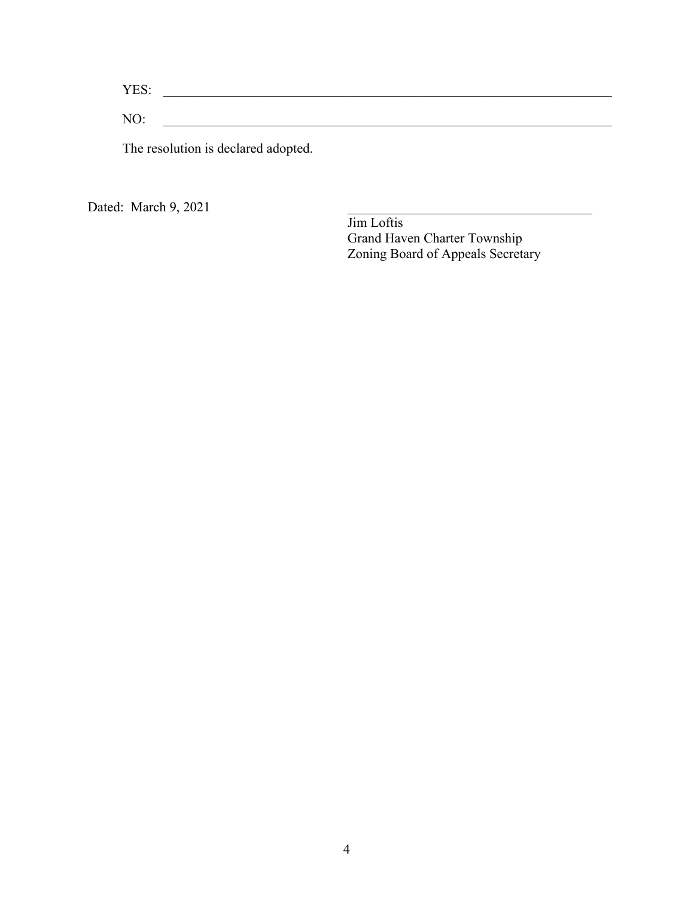YES: \_\_\_\_\_\_\_\_\_\_\_\_\_\_\_\_\_\_\_\_\_\_\_\_\_\_\_\_\_\_\_\_\_\_\_\_\_\_\_\_\_\_\_\_\_\_\_\_\_\_\_\_\_\_\_\_\_\_\_\_\_\_\_\_\_\_ NO: \_\_\_\_\_\_\_\_\_\_\_\_\_\_\_\_\_\_\_\_\_\_\_\_\_\_\_\_\_\_\_\_\_\_\_\_\_\_\_\_\_\_\_\_\_\_\_\_\_\_\_\_\_\_\_\_\_\_\_\_\_\_\_\_\_\_

The resolution is declared adopted.

Dated: March 9, 2021

Jim Loftis Grand Haven Charter Township Zoning Board of Appeals Secretary